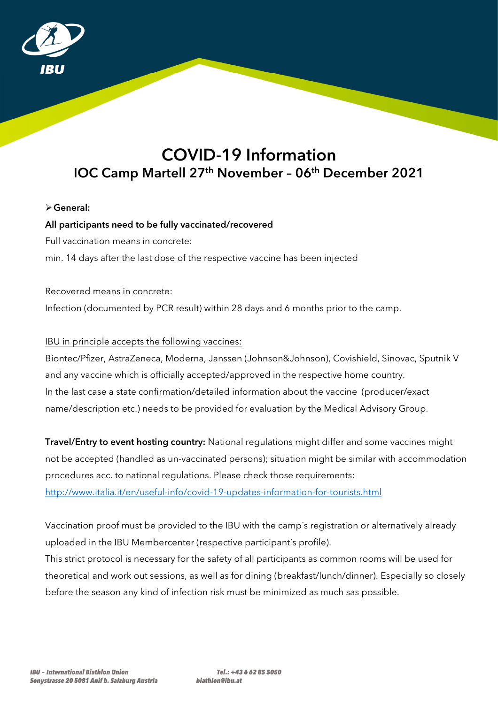

# COVID-19 Information IOC Camp Martell 27<sup>th</sup> November - 06<sup>th</sup> December 2021

# General:

## All participants need to be fully vaccinated/recovered

Full vaccination means in concrete:

min. 14 days after the last dose of the respective vaccine has been injected

Recovered means in concrete: Infection (documented by PCR result) within 28 days and 6 months prior to the camp.

## IBU in principle accepts the following vaccines:

Biontec/Pfizer, AstraZeneca, Moderna, Janssen (Johnson&Johnson), Covishield, Sinovac, Sputnik V and any vaccine which is officially accepted/approved in the respective home country. In the last case a state confirmation/detailed information about the vaccine (producer/exact name/description etc.) needs to be provided for evaluation by the Medical Advisory Group.

Travel/Entry to event hosting country: National regulations might differ and some vaccines might not be accepted (handled as un-vaccinated persons); situation might be similar with accommodation procedures acc. to national regulations. Please check those requirements: http://www.italia.it/en/useful-info/covid-19-updates-information-for-tourists.html

Vaccination proof must be provided to the IBU with the camp´s registration or alternatively already uploaded in the IBU Membercenter (respective participant´s profile).

This strict protocol is necessary for the safety of all participants as common rooms will be used for theoretical and work out sessions, as well as for dining (breakfast/lunch/dinner). Especially so closely before the season any kind of infection risk must be minimized as much sas possible.